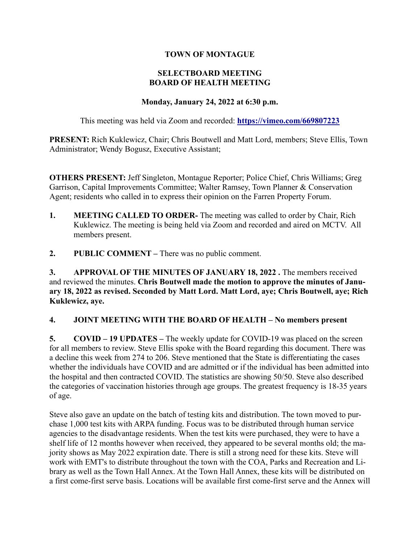### **TOWN OF MONTAGUE**

#### **SELECTBOARD MEETING BOARD OF HEALTH MEETING**

#### **Monday, January 24, 2022 at 6:30 p.m.**

This meeting was held via Zoom and recorded: **<https://vimeo.com/669807223>**

**PRESENT:** Rich Kuklewicz, Chair; Chris Boutwell and Matt Lord, members; Steve Ellis, Town Administrator; Wendy Bogusz, Executive Assistant;

**OTHERS PRESENT:** Jeff Singleton, Montague Reporter; Police Chief, Chris Williams; Greg Garrison, Capital Improvements Committee; Walter Ramsey, Town Planner & Conservation Agent; residents who called in to express their opinion on the Farren Property Forum.

- **1. MEETING CALLED TO ORDER-** The meeting was called to order by Chair, Rich Kuklewicz. The meeting is being held via Zoom and recorded and aired on MCTV. All members present.
- **2. PUBLIC COMMENT –** There was no public comment.

**3. APPROVAL OF THE MINUTES OF JANUARY 18, 2022 .** The members received and reviewed the minutes. **Chris Boutwell made the motion to approve the minutes of January 18, 2022 as revised. Seconded by Matt Lord. Matt Lord, aye; Chris Boutwell, aye; Rich Kuklewicz, aye.**

#### **4. JOINT MEETING WITH THE BOARD OF HEALTH – No members present**

**5. COVID – 19 UPDATES –** The weekly update for COVID-19 was placed on the screen for all members to review. Steve Ellis spoke with the Board regarding this document. There was a decline this week from 274 to 206. Steve mentioned that the State is differentiating the cases whether the individuals have COVID and are admitted or if the individual has been admitted into the hospital and then contracted COVID. The statistics are showing 50/50. Steve also described the categories of vaccination histories through age groups. The greatest frequency is 18-35 years of age.

Steve also gave an update on the batch of testing kits and distribution. The town moved to purchase 1,000 test kits with ARPA funding. Focus was to be distributed through human service agencies to the disadvantage residents. When the test kits were purchased, they were to have a shelf life of 12 months however when received, they appeared to be several months old; the majority shows as May 2022 expiration date. There is still a strong need for these kits. Steve will work with EMT's to distribute throughout the town with the COA, Parks and Recreation and Library as well as the Town Hall Annex. At the Town Hall Annex, these kits will be distributed on a first come-first serve basis. Locations will be available first come-first serve and the Annex will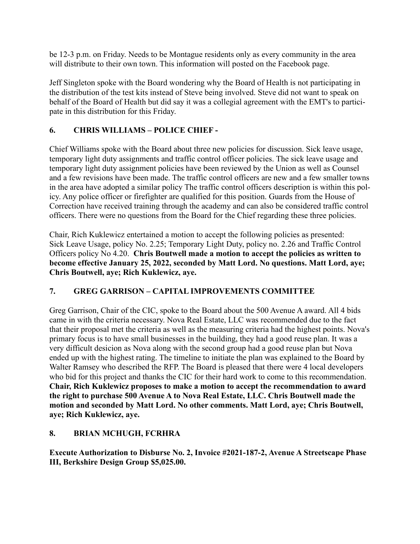be 12-3 p.m. on Friday. Needs to be Montague residents only as every community in the area will distribute to their own town. This information will posted on the Facebook page.

Jeff Singleton spoke with the Board wondering why the Board of Health is not participating in the distribution of the test kits instead of Steve being involved. Steve did not want to speak on behalf of the Board of Health but did say it was a collegial agreement with the EMT's to participate in this distribution for this Friday.

## **6. CHRIS WILLIAMS – POLICE CHIEF -**

Chief Williams spoke with the Board about three new policies for discussion. Sick leave usage, temporary light duty assignments and traffic control officer policies. The sick leave usage and temporary light duty assignment policies have been reviewed by the Union as well as Counsel and a few revisions have been made. The traffic control officers are new and a few smaller towns in the area have adopted a similar policy The traffic control officers description is within this policy. Any police officer or firefighter are qualified for this position. Guards from the House of Correction have received training through the academy and can also be considered traffic control officers. There were no questions from the Board for the Chief regarding these three policies.

Chair, Rich Kuklewicz entertained a motion to accept the following policies as presented: Sick Leave Usage, policy No. 2.25; Temporary Light Duty, policy no. 2.26 and Traffic Control Officers policy No 4.20. **Chris Boutwell made a motion to accept the policies as written to become effective January 25, 2022, seconded by Matt Lord. No questions. Matt Lord, aye; Chris Boutwell, aye; Rich Kuklewicz, aye.**

## **7. GREG GARRISON – CAPITAL IMPROVEMENTS COMMITTEE**

Greg Garrison, Chair of the CIC, spoke to the Board about the 500 Avenue A award. All 4 bids came in with the criteria necessary. Nova Real Estate, LLC was recommended due to the fact that their proposal met the criteria as well as the measuring criteria had the highest points. Nova's primary focus is to have small businesses in the building, they had a good reuse plan. It was a very difficult desicion as Nova along with the second group had a good reuse plan but Nova ended up with the highest rating. The timeline to initiate the plan was explained to the Board by Walter Ramsey who described the RFP. The Board is pleased that there were 4 local developers who bid for this project and thanks the CIC for their hard work to come to this recommendation. **Chair, Rich Kuklewicz proposes to make a motion to accept the recommendation to award the right to purchase 500 Avenue A to Nova Real Estate, LLC. Chris Boutwell made the motion and seconded by Matt Lord. No other comments. Matt Lord, aye; Chris Boutwell, aye; Rich Kuklewicz, aye.**

## **8. BRIAN MCHUGH, FCRHRA**

**Execute Authorization to Disburse No. 2, Invoice #2021-187-2, Avenue A Streetscape Phase III, Berkshire Design Group \$5,025.00.**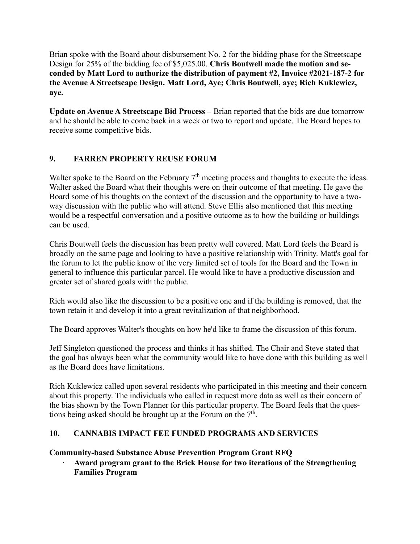Brian spoke with the Board about disbursement No. 2 for the bidding phase for the Streetscape Design for 25% of the bidding fee of \$5,025.00. **Chris Boutwell made the motion and seconded by Matt Lord to authorize the distribution of payment #2, Invoice #2021-187-2 for the Avenue A Streetscape Design. Matt Lord, Aye; Chris Boutwell, aye; Rich Kuklewicz, aye.**

**Update on Avenue A Streetscape Bid Process –** Brian reported that the bids are due tomorrow and he should be able to come back in a week or two to report and update. The Board hopes to receive some competitive bids.

# **9. FARREN PROPERTY REUSE FORUM**

Walter spoke to the Board on the February 7<sup>th</sup> meeting process and thoughts to execute the ideas. Walter asked the Board what their thoughts were on their outcome of that meeting. He gave the Board some of his thoughts on the context of the discussion and the opportunity to have a twoway discussion with the public who will attend. Steve Ellis also mentioned that this meeting would be a respectful conversation and a positive outcome as to how the building or buildings can be used.

Chris Boutwell feels the discussion has been pretty well covered. Matt Lord feels the Board is broadly on the same page and looking to have a positive relationship with Trinity. Matt's goal for the forum to let the public know of the very limited set of tools for the Board and the Town in general to influence this particular parcel. He would like to have a productive discussion and greater set of shared goals with the public.

Rich would also like the discussion to be a positive one and if the building is removed, that the town retain it and develop it into a great revitalization of that neighborhood.

The Board approves Walter's thoughts on how he'd like to frame the discussion of this forum.

Jeff Singleton questioned the process and thinks it has shifted. The Chair and Steve stated that the goal has always been what the community would like to have done with this building as well as the Board does have limitations.

Rich Kuklewicz called upon several residents who participated in this meeting and their concern about this property. The individuals who called in request more data as well as their concern of the bias shown by the Town Planner for this particular property. The Board feels that the questions being asked should be brought up at the Forum on the  $7<sup>th</sup>$ .

## **10. CANNABIS IMPACT FEE FUNDED PROGRAMS AND SERVICES**

#### **Community-based Substance Abuse Prevention Program Grant RFQ**

• **Award program grant to the Brick House for two iterations of the Strengthening Families Program**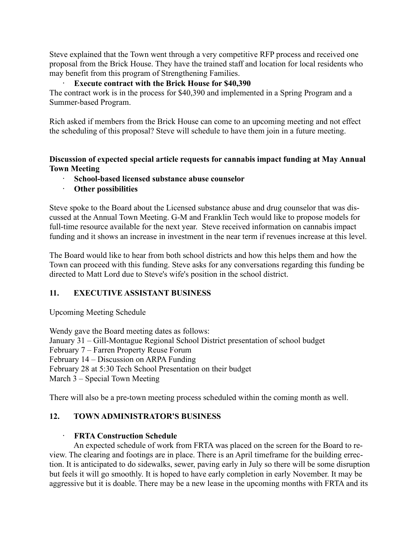Steve explained that the Town went through a very competitive RFP process and received one proposal from the Brick House. They have the trained staff and location for local residents who may benefit from this program of Strengthening Families.

### • **Execute contract with the Brick House for \$40,390**

The contract work is in the process for \$40,390 and implemented in a Spring Program and a Summer-based Program.

Rich asked if members from the Brick House can come to an upcoming meeting and not effect the scheduling of this proposal? Steve will schedule to have them join in a future meeting.

**Discussion of expected special article requests for cannabis impact funding at May Annual Town Meeting**

- **School-based licensed substance abuse counselor**
- **Other possibilities**

Steve spoke to the Board about the Licensed substance abuse and drug counselor that was discussed at the Annual Town Meeting. G-M and Franklin Tech would like to propose models for full-time resource available for the next year. Steve received information on cannabis impact funding and it shows an increase in investment in the near term if revenues increase at this level.

The Board would like to hear from both school districts and how this helps them and how the Town can proceed with this funding. Steve asks for any conversations regarding this funding be directed to Matt Lord due to Steve's wife's position in the school district.

## **11. EXECUTIVE ASSISTANT BUSINESS**

Upcoming Meeting Schedule

Wendy gave the Board meeting dates as follows:

January 31 – Gill-Montague Regional School District presentation of school budget

February 7 – Farren Property Reuse Forum

February 14 – Discussion on ARPA Funding

February 28 at 5:30 Tech School Presentation on their budget

March 3 – Special Town Meeting

There will also be a pre-town meeting process scheduled within the coming month as well.

## **12. TOWN ADMINISTRATOR'S BUSINESS**

#### • **FRTA Construction Schedule**

An expected schedule of work from FRTA was placed on the screen for the Board to review. The clearing and footings are in place. There is an April timeframe for the building errection. It is anticipated to do sidewalks, sewer, paving early in July so there will be some disruption but feels it will go smoothly. It is hoped to have early completion in early November. It may be aggressive but it is doable. There may be a new lease in the upcoming months with FRTA and its